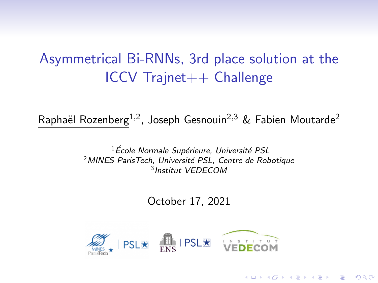# Asymmetrical Bi-RNNs, 3rd place solution at the ICCV Trajnet++ Challenge

Raphaël Rozenberg<sup>1,2</sup>, Joseph Gesnouin<sup>2,3</sup> & Fabien Moutarde<sup>2</sup>

 $^1$ École Normale Supérieure, Université PSL <sup>2</sup> MINES ParisTech, Université PSL, Centre de Robotique 3 Institut VEDECOM

October 17, 2021

**KORKARYKERKER POLO** 

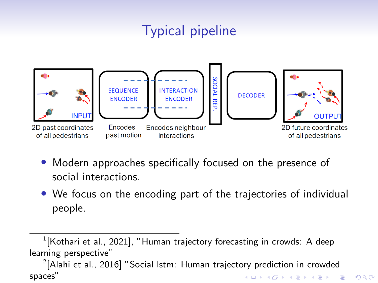# Typical pipeline



- Modern approaches specifically focused on the presence of social interactions.
- We focus on the encoding part of the trajectories of individual people.

 $^1$ [\[Kothari et al., 2021\]](#page-5-0), "Human trajectory forecasting in crowds: A deep learning perspective"

 $^{2}$ [\[Alahi et al., 2016\]](#page-5-1) "Social Istm: Human trajectory prediction in crowded spaces"KO KA KO KERKER KONGK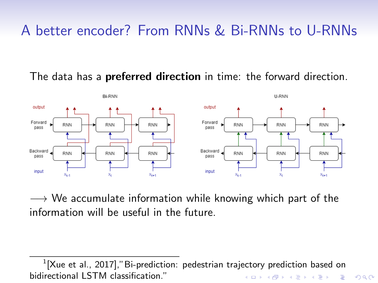# A better encoder? From RNNs & Bi-RNNs to U-RNNs

The data has a **preferred direction** in time: the forward direction.



 $\rightarrow$  We accumulate information while knowing which part of the information will be useful in the future.

 $^1$ [\[Xue et al., 2017\]](#page-5-2),"Bi-prediction: pedestrian trajectory prediction based on bidirectional LSTM classification."KO KA (FRA 1988) DE XONO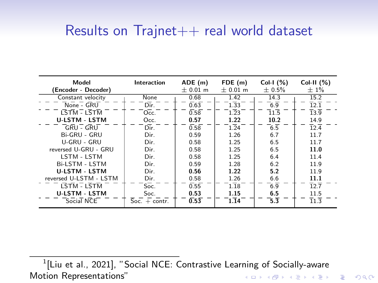#### Results on  $Trainet++$  real world dataset

| Model<br>(Encoder - Decoder)                           | Interaction     | ADE(m)<br>$± 0.01$ m | FDE (m)<br>$± 0.01$ m | Col-I $(\%)$<br>± 0.5% | Col-II $(%)$<br>$±1\%$ |
|--------------------------------------------------------|-----------------|----------------------|-----------------------|------------------------|------------------------|
| Constant velocity                                      | None            | 0.68                 | 1.42                  | 14.3                   | 15.2                   |
| $\overline{\mathsf{None}}$ - $\overline{\mathsf{GRU}}$ | Dir.            | 0.63                 | $1.\overline{3}3$     | 6.9                    | $\overline{12.1}$      |
| LSTM - LSTM                                            | Occ.            | 0.58                 | 1.23                  | 11.5                   | $\overline{13.9}$      |
| <b>U-LSTM - LSTM</b>                                   | Occ.            | 0.57                 | 1.22                  | 10.2                   | 14.9                   |
| GRU - GRU                                              | Dir.            | 0.58                 | 1.24                  | 6.5                    | $\overline{12.4}$      |
| Bi-GRU - GRU                                           | Dir.            | 0.59                 | 1.26                  | 6.7                    | 11.7                   |
| U-GRU - GRU                                            | Dir.            | 0.58                 | 1.25                  | 6.5                    | 11.7                   |
| reversed U-GRU - GRU                                   | Dir.            | 0.58                 | 1.25                  | 6.5                    | 11.0                   |
| LSTM - LSTM                                            | Dir.            | 0.58                 | 1.25                  | 6.4                    | 11.4                   |
| Bi-LSTM - LSTM                                         | Dir.            | 0.59                 | 1.28                  | 6.2                    | 11.9                   |
| <b>U-LSTM - LSTM</b>                                   | Dir.            | 0.56                 | 1.22                  | 5.2                    | 11.9                   |
| reversed U-LSTM - LSTM                                 | Dir.            | 0.58                 | 1.26                  | 6.6                    | 11.1                   |
| LSTM - LSTM                                            | Soc.            | 0.55                 | 1.18                  | 6.9                    | 12.7                   |
| <b>U-LSTM - LSTM</b>                                   | Soc.            | 0.53                 | 1.15                  | 6.5                    | 11.5                   |
| Social NCE                                             | $Soc. + contr.$ | 0.53                 | 1.14                  | 5.3                    | 11.3                   |

 $^1$ [\[Liu et al., 2021\]](#page-5-3), "Social NCE: Contrastive Learning of Socially-aware Motion Representations"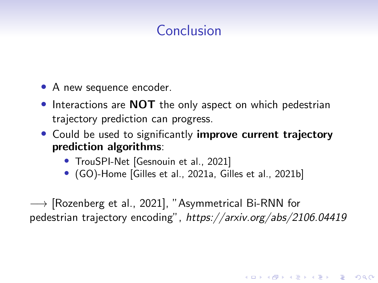### Conclusion

- A new sequence encoder.
- Interactions are **NOT** the only aspect on which pedestrian trajectory prediction can progress.
- Could be used to significantly improve current trajectory prediction algorithms:
	- TrouSPI-Net [\[Gesnouin et al., 2021\]](#page-5-4)
	- (GO)-Home [\[Gilles et al., 2021a,](#page-5-5) [Gilles et al., 2021b\]](#page-5-6)

 $\rightarrow$  [\[Rozenberg et al., 2021\]](#page-5-7), "Asymmetrical Bi-RNN for pedestrian trajectory encoding", https://arxiv.org/abs/2106.04419

4 0 > 4 4 + 4 = + 4 = + = + + 0 4 0 +